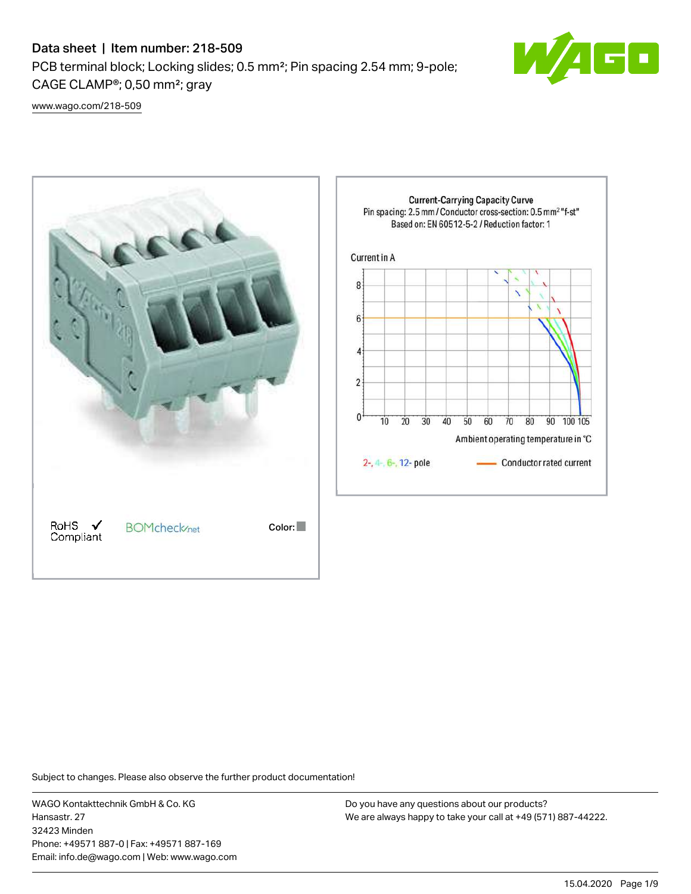# Data sheet | Item number: 218-509

PCB terminal block; Locking slides; 0.5 mm²; Pin spacing 2.54 mm; 9-pole; CAGE CLAMP®; 0,50 mm²; gray



[www.wago.com/218-509](http://www.wago.com/218-509)



Subject to changes. Please also observe the further product documentation!

WAGO Kontakttechnik GmbH & Co. KG Hansastr. 27 32423 Minden Phone: +49571 887-0 | Fax: +49571 887-169 Email: info.de@wago.com | Web: www.wago.com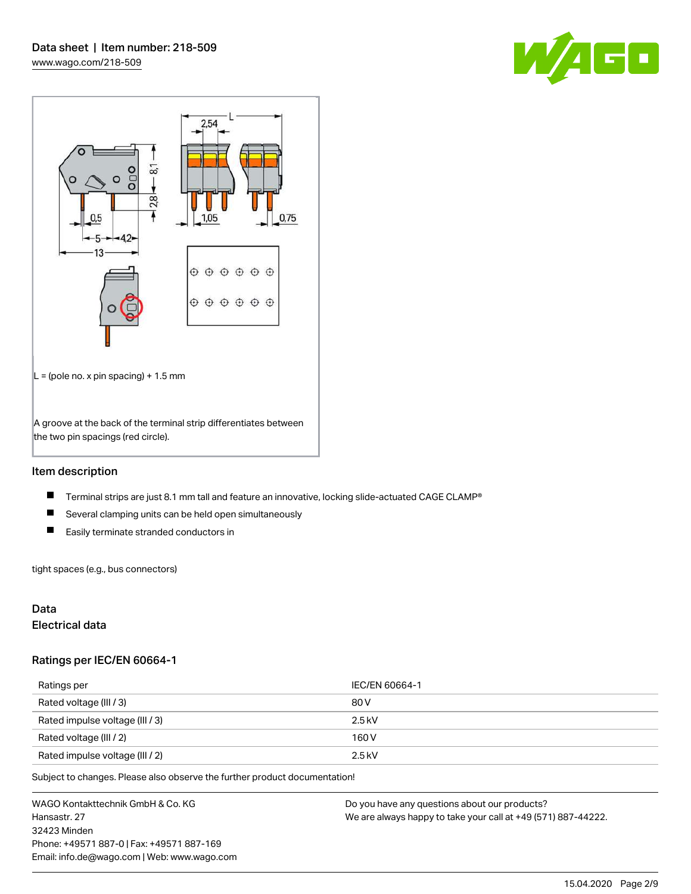



## Item description

- $\blacksquare$ Terminal strips are just 8.1 mm tall and feature an innovative, locking slide-actuated CAGE CLAMP®
- $\blacksquare$ Several clamping units can be held open simultaneously
- $\blacksquare$ Easily terminate stranded conductors in

tight spaces (e.g., bus connectors)

## Data

### Electrical data

#### Ratings per IEC/EN 60664-1

| Ratings per                     | IEC/EN 60664-1 |
|---------------------------------|----------------|
| Rated voltage (III / 3)         | 80 V           |
| Rated impulse voltage (III / 3) | $2.5$ kV       |
| Rated voltage (III / 2)         | 160 V          |
| Rated impulse voltage (III / 2) | $2.5$ kV       |

Subject to changes. Please also observe the further product documentation!

WAGO Kontakttechnik GmbH & Co. KG Hansastr. 27 32423 Minden Phone: +49571 887-0 | Fax: +49571 887-169 Email: info.de@wago.com | Web: www.wago.com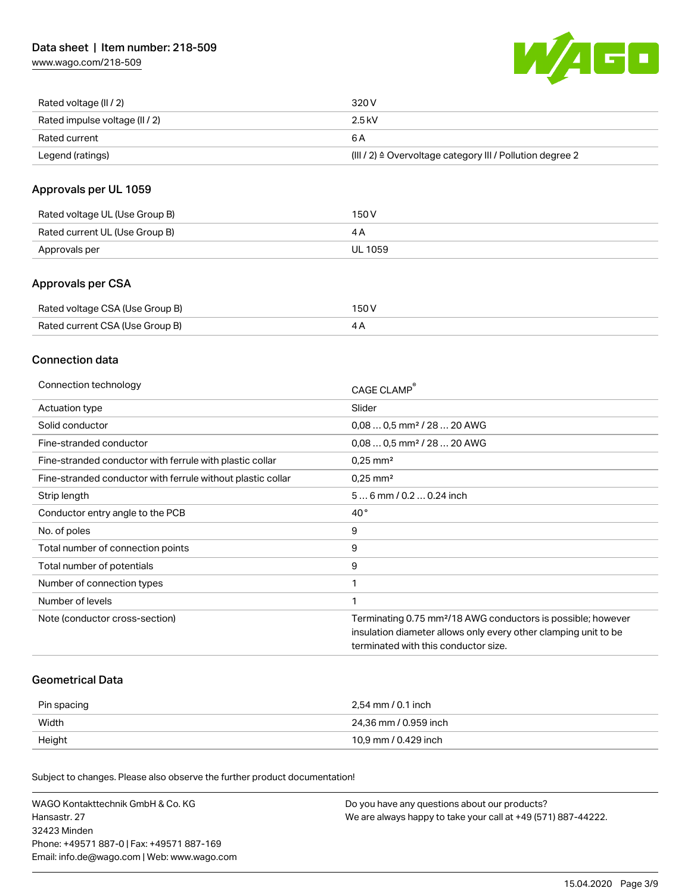[www.wago.com/218-509](http://www.wago.com/218-509)



| Rated voltage (II / 2)         | 320 V                                                                 |
|--------------------------------|-----------------------------------------------------------------------|
| Rated impulse voltage (II / 2) | 2.5 kV                                                                |
| Rated current                  | 6 A                                                                   |
| Legend (ratings)               | $(III / 2)$ $\triangle$ Overvoltage category III / Pollution degree 2 |

## Approvals per UL 1059

| Rated voltage UL (Use Group B) | 150 V   |
|--------------------------------|---------|
| Rated current UL (Use Group B) | 4 A     |
| Approvals per                  | UL 1059 |

## Approvals per CSA

| Rated voltage CSA (Use Group B) | 150 V |
|---------------------------------|-------|
| Rated current CSA (Use Group B) |       |

## Connection data

| Connection technology                                       | CAGE CLAMP                                                               |
|-------------------------------------------------------------|--------------------------------------------------------------------------|
| Actuation type                                              | Slider                                                                   |
| Solid conductor                                             | $0.080.5$ mm <sup>2</sup> / 28  20 AWG                                   |
| Fine-stranded conductor                                     | $0.080.5$ mm <sup>2</sup> / 28  20 AWG                                   |
| Fine-stranded conductor with ferrule with plastic collar    | $0.25$ mm <sup>2</sup>                                                   |
| Fine-stranded conductor with ferrule without plastic collar | $0.25$ mm <sup>2</sup>                                                   |
| Strip length                                                | 56 mm / 0.2 0.24 inch                                                    |
| Conductor entry angle to the PCB                            | $40^{\circ}$                                                             |
| No. of poles                                                | 9                                                                        |
| Total number of connection points                           | 9                                                                        |
| Total number of potentials                                  | 9                                                                        |
| Number of connection types                                  |                                                                          |
| Number of levels                                            |                                                                          |
| Note (conductor cross-section)                              | Terminating 0.75 mm <sup>2</sup> /18 AWG conductors is possible; however |
|                                                             | insulation diameter allows only every other clamping unit to be          |
|                                                             | terminated with this conductor size.                                     |

### Geometrical Data

| Pin spacing | 2,54 mm / 0.1 inch    |
|-------------|-----------------------|
| Width       | 24,36 mm / 0.959 inch |
| Height      | 10,9 mm / 0.429 inch  |

Subject to changes. Please also observe the further product documentation!

| WAGO Kontakttechnik GmbH & Co. KG           | Do you have any questions about our products?                 |
|---------------------------------------------|---------------------------------------------------------------|
| Hansastr. 27                                | We are always happy to take your call at +49 (571) 887-44222. |
| 32423 Minden                                |                                                               |
| Phone: +49571 887-01 Fax: +49571 887-169    |                                                               |
| Email: info.de@wago.com   Web: www.wago.com |                                                               |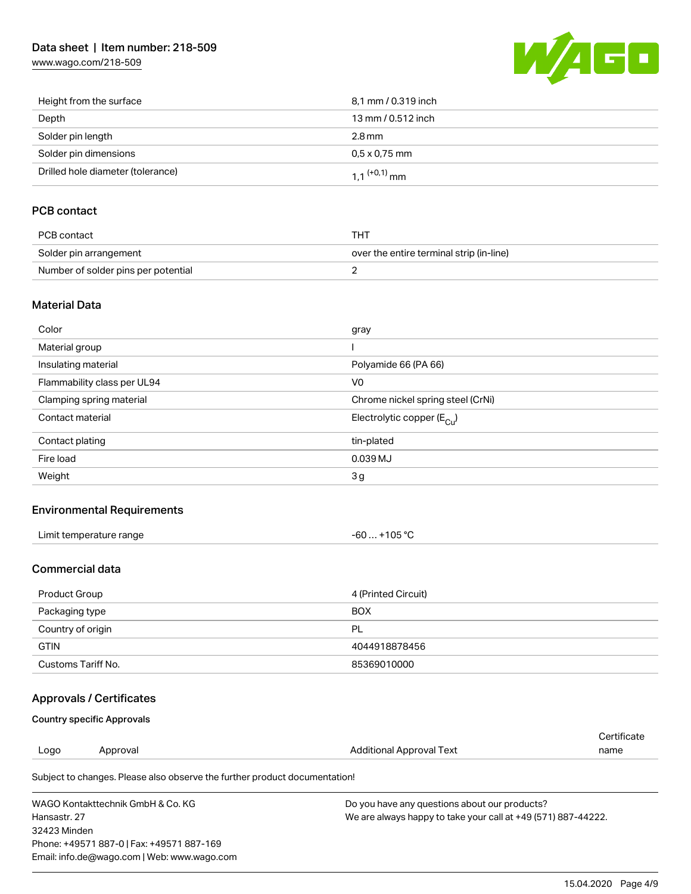# Data sheet | Item number: 218-509

[www.wago.com/218-509](http://www.wago.com/218-509)



| Height from the surface           | 8,1 mm / 0.319 inch        |
|-----------------------------------|----------------------------|
| Depth                             | 13 mm / 0.512 inch         |
| Solder pin length                 | 2.8 mm                     |
| Solder pin dimensions             | $0.5 \times 0.75$ mm       |
| Drilled hole diameter (tolerance) | $1.1$ <sup>(+0,1)</sup> mm |

# PCB contact

| PCB contact                         | тнт                                      |
|-------------------------------------|------------------------------------------|
| Solder pin arrangement              | over the entire terminal strip (in-line) |
| Number of solder pins per potential |                                          |

### Material Data

| Color                       | gray                                   |
|-----------------------------|----------------------------------------|
| Material group              |                                        |
| Insulating material         | Polyamide 66 (PA 66)                   |
| Flammability class per UL94 | V <sub>0</sub>                         |
| Clamping spring material    | Chrome nickel spring steel (CrNi)      |
| Contact material            | Electrolytic copper (E <sub>Cu</sub> ) |
| Contact plating             | tin-plated                             |
| Fire load                   | 0.039 MJ                               |
| Weight                      | 3g                                     |

## Environmental Requirements

| Limit temperature range | +105 $^{\circ}$ C |
|-------------------------|-------------------|
|                         | -60               |
| .                       |                   |

### Commercial data

| Product Group      | 4 (Printed Circuit) |
|--------------------|---------------------|
| Packaging type     | <b>BOX</b>          |
| Country of origin  | PL                  |
| <b>GTIN</b>        | 4044918878456       |
| Customs Tariff No. | 85369010000         |

# Approvals / Certificates

### Country specific Approvals

Phone: +49571 887-0 | Fax: +49571 887-169 Email: info.de@wago.com | Web: www.wago.com

| Logo                              | Approval                                                                   | Additional Approval Text                                      | Certificate<br>name |
|-----------------------------------|----------------------------------------------------------------------------|---------------------------------------------------------------|---------------------|
|                                   | Subject to changes. Please also observe the further product documentation! |                                                               |                     |
| WAGO Kontakttechnik GmbH & Co. KG |                                                                            | Do you have any questions about our products?                 |                     |
| Hansastr, 27                      |                                                                            | We are always happy to take your call at +49 (571) 887-44222. |                     |
| 32423 Minden                      |                                                                            |                                                               |                     |

15.04.2020 Page 4/9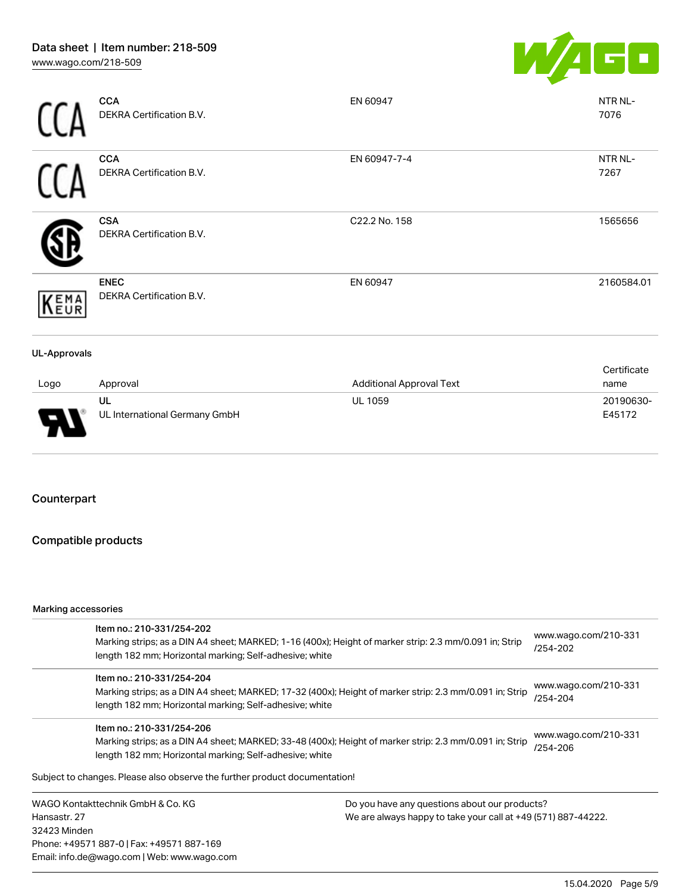

UL 1059 20190630-

|                     | <b>CCA</b><br>DEKRA Certification B.V.         | EN 60947                        | NTR NL-<br>7076     |
|---------------------|------------------------------------------------|---------------------------------|---------------------|
|                     | <b>CCA</b><br><b>DEKRA Certification B.V.</b>  | EN 60947-7-4                    | NTR NL-<br>7267     |
|                     | <b>CSA</b><br>DEKRA Certification B.V.         | C22.2 No. 158                   | 1565656             |
| KEMA                | <b>ENEC</b><br><b>DEKRA Certification B.V.</b> | EN 60947                        | 2160584.01          |
| <b>UL-Approvals</b> |                                                |                                 |                     |
| Logo                | Approval                                       | <b>Additional Approval Text</b> | Certificate<br>name |

| opc | Ap |
|-----|----|
|     | ul |
|     | UL |
|     |    |

UL International Germany GmbH

## Counterpart

# Compatible products

#### Marking accessories

Email: info.de@wago.com | Web: www.wago.com

| Item no.: 210-331/254-202                                                  |                                                                                                                                                                                                                                     |                                                               |  |
|----------------------------------------------------------------------------|-------------------------------------------------------------------------------------------------------------------------------------------------------------------------------------------------------------------------------------|---------------------------------------------------------------|--|
|                                                                            | Marking strips; as a DIN A4 sheet; MARKED; 1-16 (400x); Height of marker strip: 2.3 mm/0.091 in; Strip                                                                                                                              | www.wago.com/210-331<br>/254-202                              |  |
|                                                                            | length 182 mm; Horizontal marking; Self-adhesive; white                                                                                                                                                                             |                                                               |  |
| Item no.: 210-331/254-204                                                  |                                                                                                                                                                                                                                     | www.wago.com/210-331                                          |  |
|                                                                            | Marking strips; as a DIN A4 sheet; MARKED; 17-32 (400x); Height of marker strip: 2.3 mm/0.091 in; Strip<br>/254-204<br>length 182 mm; Horizontal marking; Self-adhesive; white                                                      |                                                               |  |
|                                                                            |                                                                                                                                                                                                                                     |                                                               |  |
|                                                                            | Item no.: 210-331/254-206<br>www.wago.com/210-331<br>Marking strips; as a DIN A4 sheet; MARKED; 33-48 (400x); Height of marker strip: 2.3 mm/0.091 in; Strip<br>/254-206<br>length 182 mm; Horizontal marking; Self-adhesive; white |                                                               |  |
|                                                                            |                                                                                                                                                                                                                                     |                                                               |  |
|                                                                            |                                                                                                                                                                                                                                     |                                                               |  |
| Subject to changes. Please also observe the further product documentation! |                                                                                                                                                                                                                                     |                                                               |  |
| WAGO Kontakttechnik GmbH & Co. KG                                          | Do you have any questions about our products?                                                                                                                                                                                       |                                                               |  |
| Hansastr, 27                                                               |                                                                                                                                                                                                                                     | We are always happy to take your call at +49 (571) 887-44222. |  |
| 32423 Minden                                                               |                                                                                                                                                                                                                                     |                                                               |  |
| Phone: +49571 887-0   Fax: +49571 887-169                                  |                                                                                                                                                                                                                                     |                                                               |  |

15.04.2020 Page 5/9

E45172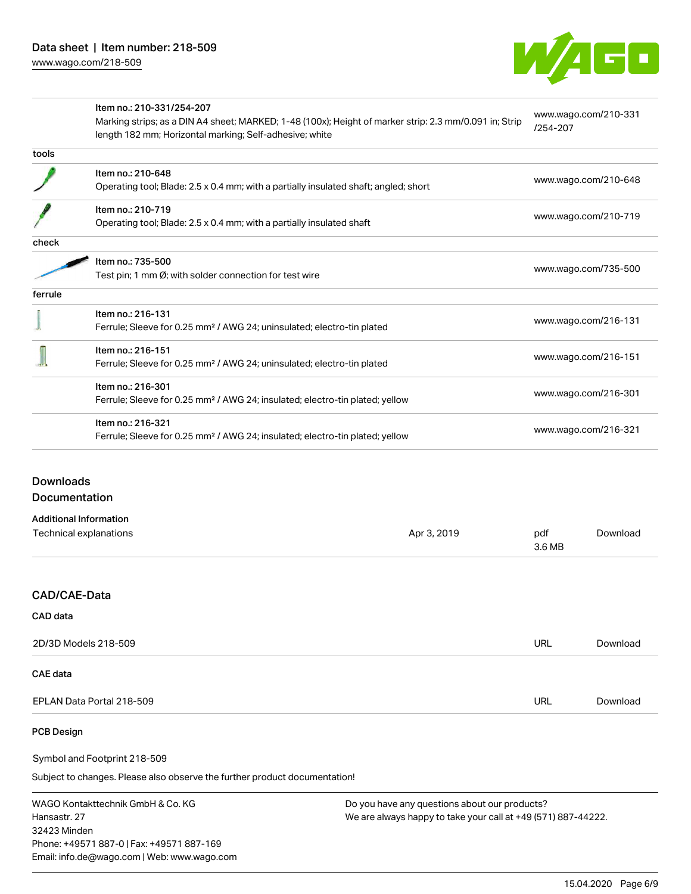

|         | Item no.: 210-331/254-207                                                                              | www.wago.com/210-331 |
|---------|--------------------------------------------------------------------------------------------------------|----------------------|
|         | Marking strips; as a DIN A4 sheet; MARKED; 1-48 (100x); Height of marker strip: 2.3 mm/0.091 in; Strip | /254-207             |
|         | length 182 mm; Horizontal marking; Self-adhesive; white                                                |                      |
| tools   |                                                                                                        |                      |
|         | Item no.: 210-648                                                                                      | www.wago.com/210-648 |
|         | Operating tool; Blade: 2.5 x 0.4 mm; with a partially insulated shaft; angled; short                   |                      |
|         | Item no.: 210-719                                                                                      |                      |
|         | Operating tool; Blade: 2.5 x 0.4 mm; with a partially insulated shaft                                  | www.wago.com/210-719 |
| check   |                                                                                                        |                      |
|         | Item no.: 735-500                                                                                      | www.wago.com/735-500 |
|         | Test pin; 1 mm Ø; with solder connection for test wire                                                 |                      |
| ferrule |                                                                                                        |                      |
|         | Item no.: 216-131                                                                                      |                      |
|         | Ferrule; Sleeve for 0.25 mm <sup>2</sup> / AWG 24; uninsulated; electro-tin plated                     | www.wago.com/216-131 |
|         | Item no.: 216-151                                                                                      |                      |
|         | Ferrule; Sleeve for 0.25 mm <sup>2</sup> / AWG 24; uninsulated; electro-tin plated                     | www.wago.com/216-151 |
|         | Item no.: 216-301                                                                                      |                      |
|         | Ferrule; Sleeve for 0.25 mm <sup>2</sup> / AWG 24; insulated; electro-tin plated; yellow               | www.wago.com/216-301 |
|         | Item no.: 216-321                                                                                      |                      |
|         | Ferrule; Sleeve for 0.25 mm <sup>2</sup> / AWG 24; insulated; electro-tin plated; yellow               | www.wago.com/216-321 |

| Additional Information |             |        |          |
|------------------------|-------------|--------|----------|
| Technical explanations | Apr 3, 2019 | pdf    | Download |
|                        |             | 3.6 MB |          |

# CAD/CAE-Data

| CAD data                  |            |          |
|---------------------------|------------|----------|
| 2D/3D Models 218-509      | <b>URL</b> | Download |
| <b>CAE</b> data           |            |          |
| EPLAN Data Portal 218-509 | <b>URL</b> | Download |

## PCB Design

Symbol and Footprint 218-509

Subject to changes. Please also observe the further product documentation!

WAGO Kontakttechnik GmbH & Co. KG Hansastr. 27 32423 Minden Phone: +49571 887-0 | Fax: +49571 887-169 Email: info.de@wago.com | Web: www.wago.com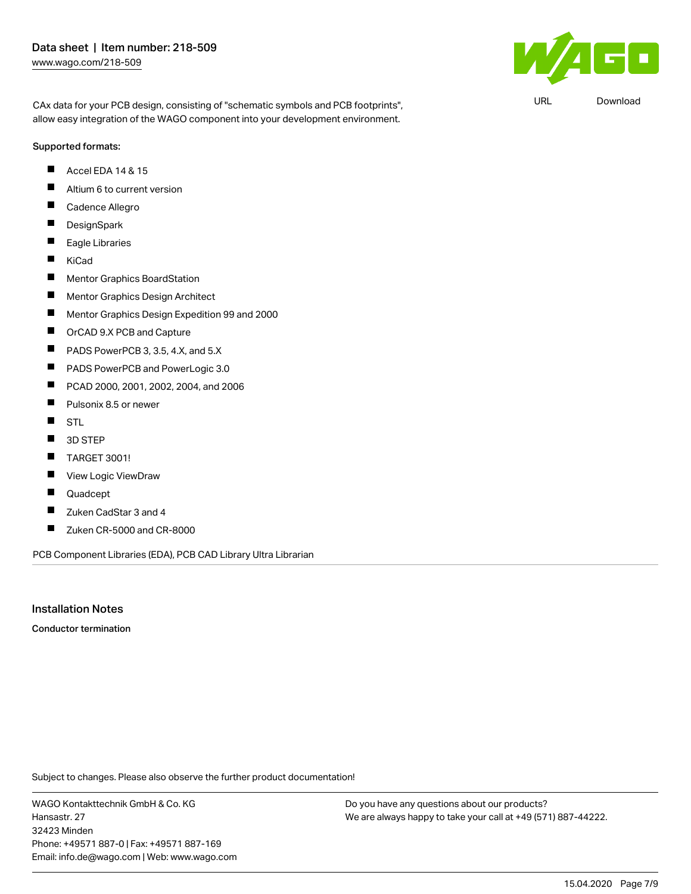$\mathbf{F}$ 

URL [Download](https://www.wago.com/de/d/UltraLibrarian_URLS_218-509)

CAx data for your PCB design, consisting of "schematic symbols and PCB footprints", allow easy integration of the WAGO component into your development environment.

#### Supported formats:

- Accel EDA 14 & 15  $\blacksquare$
- $\blacksquare$ Altium 6 to current version
- П Cadence Allegro
- $\blacksquare$ **DesignSpark**
- $\blacksquare$ Eagle Libraries
- $\blacksquare$ KiCad
- $\blacksquare$ Mentor Graphics BoardStation
- П Mentor Graphics Design Architect
- П Mentor Graphics Design Expedition 99 and 2000
- $\blacksquare$ OrCAD 9.X PCB and Capture
- $\blacksquare$ PADS PowerPCB 3, 3.5, 4.X, and 5.X
- $\blacksquare$ PADS PowerPCB and PowerLogic 3.0
- $\blacksquare$ PCAD 2000, 2001, 2002, 2004, and 2006
- $\blacksquare$ Pulsonix 8.5 or newer
- $\blacksquare$ **STL**
- $\blacksquare$ 3D STEP
- П TARGET 3001!
- $\blacksquare$ View Logic ViewDraw
- П Quadcept
- $\blacksquare$ Zuken CadStar 3 and 4
- $\blacksquare$ Zuken CR-5000 and CR-8000

PCB Component Libraries (EDA), PCB CAD Library Ultra Librarian

## Installation Notes

Conductor termination

Subject to changes. Please also observe the further product documentation!

WAGO Kontakttechnik GmbH & Co. KG Hansastr. 27 32423 Minden Phone: +49571 887-0 | Fax: +49571 887-169 Email: info.de@wago.com | Web: www.wago.com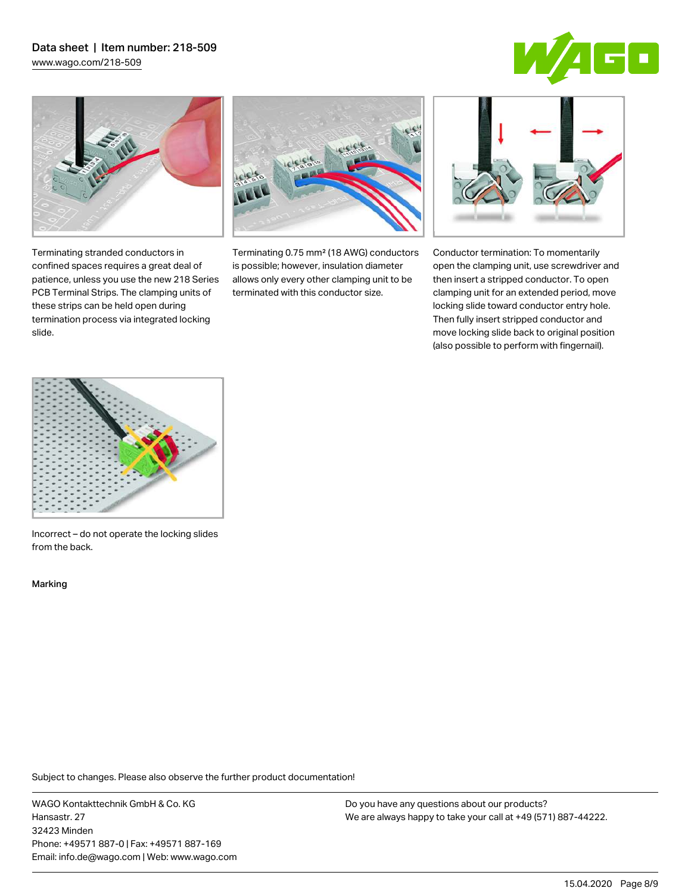## Data sheet | Item number: 218-509 [www.wago.com/218-509](http://www.wago.com/218-509)

 $\overline{\blacksquare}$ 



Terminating stranded conductors in confined spaces requires a great deal of patience, unless you use the new 218 Series PCB Terminal Strips. The clamping units of these strips can be held open during termination process via integrated locking

Terminating 0.75 mm² (18 AWG) conductors is possible; however, insulation diameter allows only every other clamping unit to be terminated with this conductor size.



Conductor termination: To momentarily open the clamping unit, use screwdriver and then insert a stripped conductor. To open clamping unit for an extended period, move locking slide toward conductor entry hole. Then fully insert stripped conductor and move locking slide back to original position (also possible to perform with fingernail).



Incorrect – do not operate the locking slides from the back.

Marking

slide.

Subject to changes. Please also observe the further product documentation!

WAGO Kontakttechnik GmbH & Co. KG Hansastr. 27 32423 Minden Phone: +49571 887-0 | Fax: +49571 887-169 Email: info.de@wago.com | Web: www.wago.com